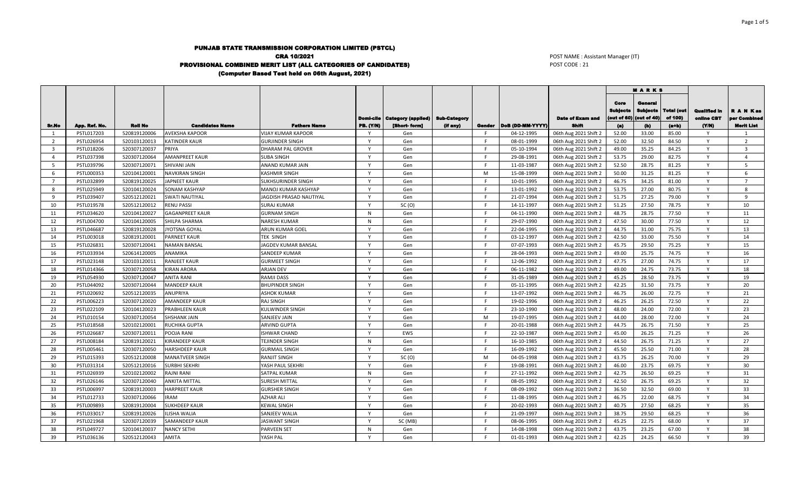## PUNJAB STATE TRANSMISSION CORPORATION LIMITED (PSTCL) CRA 10/2021 PROVISIONAL COMBINED MERIT LIST (ALL CATEGORIES OF CANDIDATES) (Computer Based Test held on 06th August, 2021)

POST NAME : Assistant Manager (IT) POST CODE : 21

|                         |               |                |                        |                           |              |                                         |                     |     |                         |                         | <b>MARKS</b>                           |                                           |                              |                                   |                           |
|-------------------------|---------------|----------------|------------------------|---------------------------|--------------|-----------------------------------------|---------------------|-----|-------------------------|-------------------------|----------------------------------------|-------------------------------------------|------------------------------|-----------------------------------|---------------------------|
|                         |               |                |                        |                           |              | <b>Domi-cile   Category (applied)  </b> | <b>Sub-Category</b> |     |                         | <b>Date of Exam and</b> | Core<br><b>Bubjects</b><br>(out of 60) | General<br><b>Subjects</b><br>(out of 40) | <b>Total (out</b><br>of 100) | <b>Qualified In</b><br>online CBT | R A N Kas<br>per Combined |
| Sr.No                   | App. Ref. No. | <b>Roll No</b> | <b>Candidates Name</b> | <b>Fathers Name</b>       | PB. (Y/N)    | [Short-form]                            | (if any)            |     | Gender DoB (DD-MM-YYYY) | <b>Shift</b>            | (a)                                    | (b)                                       | $(a+b)$                      | (Y/N)                             | <b>Merit List</b>         |
| 1                       | PSTL017203    | 520819120006   | <b>AVEKSHA KAPOOR</b>  | <b>VIJAY KUMAR KAPOOR</b> |              | Gen                                     |                     | -F. | 04-12-1995              | 06th Aug 2021 Shift 2   | 52.00                                  | 33.00                                     | 85.00                        | Y                                 | $\overline{1}$            |
| 2                       | PSTL026954    | 520103120013   | <b>KATINDER KAUR</b>   | <b>GURJINDER SINGH</b>    | $\mathsf{v}$ | Gen                                     |                     | F.  | 08-01-1999              | 06th Aug 2021 Shift 2   | 52.00                                  | 32.50                                     | 84.50                        | Y                                 | $\overline{2}$            |
| $\overline{\mathbf{3}}$ | PSTL018206    | 520307120037   | PRIYA                  | <b>DHARAM PAL GROVER</b>  |              | Gen                                     |                     | F.  | 05-10-1994              | 06th Aug 2021 Shift 2   | 49.00                                  | 35.25                                     | 84.25                        | $\mathsf{v}$                      | $\overline{3}$            |
| $\overline{a}$          | PSTL037398    | 520307120064   | <b>AMANPREET KAUR</b>  | <b>SUBA SINGH</b>         | $\mathbf v$  | Gen                                     |                     | F.  | 29-08-1991              | 06th Aug 2021 Shift 2   | 53.75                                  | 29.00                                     | 82.75                        | Y                                 | $\overline{a}$            |
| 5                       | PSTL039796    | 520307120071   | <b>SHIVANI JAIN</b>    | ANAND KUMAR JAIN          | $\mathsf{v}$ | Gen                                     |                     | F.  | 11-03-1987              | 06th Aug 2021 Shift 2   | 52.50                                  | 28.75                                     | 81.25                        | $\mathsf{Y}$                      | $\overline{5}$            |
| 6                       | PSTL000353    | 520104120001   | <b>NAVKIRAN SINGH</b>  | <b>KASHMIR SINGH</b>      | $\mathbf v$  | Gen                                     |                     | M   | 15-08-1999              | 06th Aug 2021 Shift 2   | 50.00                                  | 31.25                                     | 81.25                        | Y                                 | -6                        |
| $7^{\circ}$             | PSTL032899    | 520819120025   | <b>JAPNEET KAUR</b>    | SUKHSURINDER SINGH        | $\mathsf{v}$ | Gen                                     |                     | F   | 10-01-1995              | 06th Aug 2021 Shift 2   | 46.75                                  | 34.25                                     | 81.00                        | $\mathsf{Y}$                      | $\overline{7}$            |
| 8                       | PSTL025949    | 520104120024   | <b>SONAM KASHYAP</b>   | MANOJ KUMAR KASHYAP       |              | Gen                                     |                     | E   | 13-01-1992              | 06th Aug 2021 Shift 2   | 53.75                                  | 27.00                                     | 80.75                        | $\mathsf{v}$                      | $\mathbf{R}$              |
| 9                       | PSTL039407    | 520512120021   | <b>SWATI NAUTIYAL</b>  | JAGDISH PRASAD NAUTIYAL   | $\mathsf{v}$ | Gen                                     |                     | F.  | 21-07-1994              | 06th Aug 2021 Shift 2   | 51.75                                  | 27.25                                     | 79.00                        | Y                                 | $\mathbf{q}$              |
| 10                      | PSTL019578    | 520512120012   | <b>RENU PASSI</b>      | <b>SURAJ KUMAR</b>        | <b>V</b>     | SC(0)                                   |                     | F   | 14-11-1997              | 06th Aug 2021 Shift 2   | 51.25                                  | 27.50                                     | 78.75                        | Y                                 | 10                        |
| 11                      | PSTL034620    | 520104120027   | <b>GAGANPREET KAUR</b> | <b>GURNAM SINGH</b>       | N            | Gen                                     |                     | F.  | 04-11-1990              | 06th Aug 2021 Shift 2   | 48.75                                  | 28.75                                     | 77.50                        | $\mathsf{Y}$                      | 11                        |
| 12                      | PSTL004700    | 520104120005   | SHILPA SHARMA          | <b>NARESH KUMAR</b>       | N            | Gen                                     |                     | F.  | 29-07-1990              | 06th Aug 2021 Shift 2   | 47.50                                  | 30.00                                     | 77.50                        | Y                                 | 12                        |
| 13                      | PSTL046687    | 520819120028   | <b>JYOTSNA GOYAL</b>   | <b>ARUN KUMAR GOEL</b>    | $\mathbf v$  | Gen                                     |                     | F.  | 22-04-1995              | 06th Aug 2021 Shift 2   | 44.75                                  | 31.00                                     | 75.75                        | $\mathsf{v}$                      | 13                        |
| 14                      | PSTL003018    | 520819120001   | PARNEET KAUR           | <b>TEK SINGH</b>          | $\mathbf v$  | Gen                                     |                     | F.  | 03-12-1997              | 06th Aug 2021 Shift 2   | 42.50                                  | 33.00                                     | 75.50                        | Y                                 | 14                        |
| 15                      | PSTL026831    | 520307120041   | <b>NAMAN BANSAL</b>    | JAGDEV KUMAR BANSAL       | $\mathbf v$  | Gen                                     |                     | F.  | 07-07-1993              | 06th Aug 2021 Shift 2   | 45.75                                  | 29.50                                     | 75.25                        | Y                                 | 15                        |
| 16                      | PSTL033934    | 520614120005   | ANAMIKA                | SANDEEP KUMAR             | $\mathbf v$  | Gen                                     |                     | F.  | 28-04-1993              | 06th Aug 2021 Shift 2   | 49.00                                  | 25.75                                     | 74.75                        | Y                                 | 16                        |
| 17                      | PSTL023148    | 520103120011   | <b>RANJEET KAUR</b>    | <b>GURMEET SINGH</b>      | <b>V</b>     | Gen                                     |                     | F.  | 12-06-1992              | 06th Aug 2021 Shift 2   | 47.75                                  | 27.00                                     | 74.75                        | Y                                 | 17                        |
| 18                      | PSTL014366    | 520307120058   | <b>KIRAN ARORA</b>     | <b>ARJAN DEV</b>          | $\mathsf{v}$ | Gen                                     |                     | F.  | 06-11-1982              | 06th Aug 2021 Shift 2   | 49.00                                  | 24.75                                     | 73.75                        | Y                                 | 18                        |
| 19                      | PSTL054930    | 520307120047   | <b>ANITA RANI</b>      | RAMJI DASS                |              | Gen                                     |                     | F.  | 31-05-1989              | 06th Aug 2021 Shift 2   | 45.25                                  | 28.50                                     | 73.75                        | Y                                 | 19                        |
| 20                      | PSTL044092    | 520307120044   | <b>MANDEEP KAUR</b>    | <b>BHUPINDER SINGH</b>    | $\mathsf{v}$ | Gen                                     |                     | F.  | 05-11-1995              | 06th Aug 2021 Shift 2   | 42.25                                  | 31.50                                     | 73.75                        | $\mathsf{Y}$                      | 20                        |
| 21                      | PSTL020692    | 520512120035   | ANUPRIYA               | ASHOK KUMAR               | $\mathbf v$  | Gen                                     |                     | F   | 13-07-1992              | 06th Aug 2021 Shift 2   | 46.75                                  | 26.00                                     | 72.75                        | $\mathsf{Y}$                      | 21                        |
| 22                      | PSTL006223    | 520307120020   | <b>AMANDEEP KAUR</b>   | <b>RAJ SINGH</b>          | $\mathbf v$  | Gen                                     |                     | F   | 19-02-1996              | 06th Aug 2021 Shift 2   | 46.25                                  | 26.25                                     | 72.50                        | Y                                 | 22                        |
| 23                      | PSTL022109    | 520104120023   | PRABHLEEN KAUR         | KULWINDER SINGH           | <b>V</b>     | Gen                                     |                     | F.  | 23-10-1990              | 06th Aug 2021 Shift 2   | 48.00                                  | 24.00                                     | 72.00                        | $\mathsf{Y}$                      | 23                        |
| 24                      | PSTL010154    | 520307120054   | <b>SHSHANK JAIN</b>    | SANJEEV JAIN              |              | Gen                                     |                     | M   | 19-07-1995              | 06th Aug 2021 Shift 2   | 44.00                                  | 28.00                                     | 72.00                        | $\mathsf{Y}$                      | 24                        |
| 25                      | PSTL018568    | 520102120001   | RUCHIKA GUPTA          | <b>ARVIND GUPTA</b>       | $\mathsf{v}$ | Gen                                     |                     | F.  | 20-01-1988              | 06th Aug 2021 Shift 2   | 44.75                                  | 26.75                                     | 71.50                        | Y                                 | 25                        |
| 26                      | PSTL026687    | 520307120011   | POOJA RANI             | <b>ISHWAR CHAND</b>       | $\mathbf v$  | EWS                                     |                     | F.  | 22-10-1987              | 06th Aug 2021 Shift 2   | 45.00                                  | 26.25                                     | 71.25                        | $\mathsf{Y}$                      | 26                        |
| 27                      | PSTL008184    | 520819120021   | <b>KIRANDEEP KAUR</b>  | TEJINDER SINGH            | N            | Gen                                     |                     | F.  | 16-10-1985              | 06th Aug 2021 Shift 2   | 44.50                                  | 26.75                                     | 71.25                        | Y                                 | 27                        |
| 28                      | PSTL005461    | 520307120050   | HARSHDEEP KAUR         | <b>GURMAIL SINGH</b>      | $\mathbf v$  | Gen                                     |                     | F.  | 16-09-1992              | 06th Aug 2021 Shift 2   | 45.50                                  | 25.50                                     | 71.00                        | Y                                 | 28                        |
| 29                      | PSTL015393    | 520512120008   | <b>MANATVEER SINGH</b> | <b>RANJIT SINGH</b>       | $\mathbf v$  | SC(0)                                   |                     | M   | 04-05-1998              | 06th Aug 2021 Shift 2   | 43.75                                  | 26.25                                     | 70.00                        | $\mathsf{v}$                      | 29                        |
| 30                      | PSTL031314    | 520512120016   | <b>SURBHI SEKHRI</b>   | YASH PAUL SEKHRI          | <b>V</b>     | Gen                                     |                     | -F  | 19-08-1991              | 06th Aug 2021 Shift 2   | 46.00                                  | 23.75                                     | 69.75                        | Y                                 | 30                        |
| 31                      | PSTL026939    | 520102120002   | <b>RAJNI RANI</b>      | SATPAL KUMAR              | N            | Gen                                     |                     | F   | 27-11-1992              | 06th Aug 2021 Shift 2   | 42.75                                  | 26.50                                     | 69.25                        | Y                                 | 31                        |
| 32                      | PSTL026146    | 520307120040   | <b>ANKITA MITTAL</b>   | <b>SURESH MITTAL</b>      | $\mathbf v$  | Gen                                     |                     | F.  | 08-05-1992              | 06th Aug 2021 Shift 2   | 42.50                                  | 26.75                                     | 69.25                        | Y                                 | 32                        |
| 33                      | PSTL006997    | 520819120003   | <b>HARPREET KAUR</b>   | <b>GURSHER SINGH</b>      | $\mathbf v$  | Gen                                     |                     | F.  | 08-09-1992              | 06th Aug 2021 Shift 2   | 36.50                                  | 32.50                                     | 69.00                        | $\mathsf{Y}$                      | 33                        |
| 34                      | PSTL012733    | 520307120066   | <b>IRAM</b>            | <b>AZHAR ALI</b>          | $\mathsf{v}$ | Gen                                     |                     | F   | 11-08-1995              | 06th Aug 2021 Shift 2   | 46.75                                  | 22.00                                     | 68.75                        | Y                                 | 34                        |
| 35                      | PSTL009893    | 520819120004   | <b>SUKHDEEP KAUR</b>   | <b>KEWAL SINGH</b>        | $\mathbf v$  | Gen                                     |                     | F.  | 20-02-1993              | 06th Aug 2021 Shift 2   | 40.75                                  | 27.50                                     | 68.25                        | Y                                 | 35                        |
| 36                      | PSTL033017    | 520819120026   | ILISHA WALIA           | SANJEEV WALIA             | $\mathsf{v}$ | Gen                                     |                     | F.  | 21-09-1997              | 06th Aug 2021 Shift 2   | 38.75                                  | 29.50                                     | 68.25                        | Y                                 | 36                        |
| 37                      | PSTL021968    | 520307120039   | <b>SAMANDEEP KAUR</b>  | <b>JASWANT SINGH</b>      |              | SC (MB)                                 |                     | F.  | 08-06-1995              | 06th Aug 2021 Shift 2   | 45.25                                  | 22.75                                     | 68.00                        | $\mathsf{v}$                      | 37                        |
| 38                      | PSTL049727    | 520104120037   | <b>NANCY SETHI</b>     | PARVEEN SET               | N            | Gen                                     |                     | F.  | 14-08-1998              | 06th Aug 2021 Shift 2   | 43.75                                  | 23.25                                     | 67.00                        | Y                                 | 38                        |
| 39                      | PSTL036136    | 520512120043   | <b>AMITA</b>           | YASH PAL                  | $\mathsf{v}$ | Gen                                     |                     | F.  | 01-01-1993              | 06th Aug 2021 Shift 2   | 42.25                                  | 24.25                                     | 66.50                        | $\checkmark$                      | 39                        |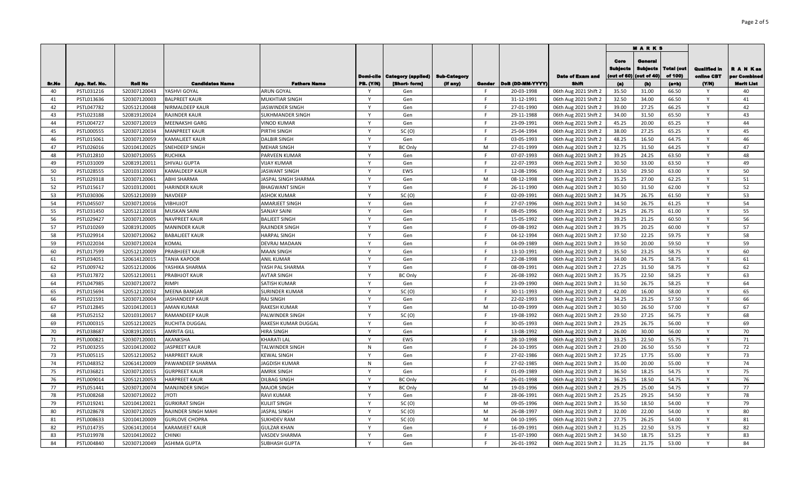|       |               |                |                            |                        |                  |                                                       |                                 |        |                  |                                         | <b>MARKS</b>                           |                                           |                                  |                                    |                                               |
|-------|---------------|----------------|----------------------------|------------------------|------------------|-------------------------------------------------------|---------------------------------|--------|------------------|-----------------------------------------|----------------------------------------|-------------------------------------------|----------------------------------|------------------------------------|-----------------------------------------------|
| Sr.No | App. Ref. No. | <b>Roll No</b> | <b>Candidates Name</b>     | <b>Fathers Name</b>    | <b>PB. (Y/N)</b> | <b>Domi-cile   Category (applied)</b><br>[Short-form] | <b>Sub-Category</b><br>(if any) | Gender | DoB (DD-MM-YYYY) | <b>Date of Exam and</b><br><b>Shift</b> | Core<br>Sublects<br>(out of 60)<br>(a) | General<br>Subjects<br>(out of 40)<br>(b) | Total (out<br>of 100)<br>$(a+b)$ | Qualified in<br>oniine CBT<br>(YM) | R A N Kas<br>er Combinee<br><b>Merit List</b> |
| 40    | PSTL031216    | 520307120043   | YASHVI GOYAL               | <b>ARUN GOYAL</b>      | Y                | Gen                                                   |                                 | F.     | 20-03-1998       | 06th Aug 2021 Shift 2                   | 35.50                                  | 31.00                                     | 66.50                            | Y                                  | 40                                            |
| 41    | PSTL013636    | 520307120003   | <b>BALPREET KAUR</b>       | <b>MUKHTIAR SINGH</b>  | Y                | Gen                                                   |                                 | F      | 31-12-1991       | 06th Aug 2021 Shift 2                   | 32.50                                  | 34.00                                     | 66.50                            | Y                                  | 41                                            |
| 42    | PSTL047782    | 520512120048   | <b>NIRMALDEEP KAUR</b>     | <b>JASWINDER SINGH</b> | Y                | Gen                                                   |                                 | E      | 27-01-1990       | 06th Aug 2021 Shift 2                   | 39.00                                  | 27.25                                     | 66.25                            | Y                                  | 42                                            |
| 43    | PSTL023188    | 520819120024   | <b>RAJINDER KAUR</b>       | SUKHMANDER SINGH       | Y                | Gen                                                   |                                 | F      | 29-11-1988       | 06th Aug 2021 Shift 2                   | 34.00                                  | 31.50                                     | 65.50                            | Y                                  | 43                                            |
| 44    | PSTL004727    | 520307120019   | <b>MEENAKSHI GARG</b>      | <b>VINOD KUMAR</b>     | Y                | Gen                                                   |                                 | F.     | 23-09-1991       | 06th Aug 2021 Shift 2                   | 45.25                                  | 20.00                                     | 65.25                            | Y                                  | 44                                            |
| 45    | PSTL000555    | 520307120034   | <b>MANPREET KAUR</b>       | PIRTHI SINGH           | Y                | SC(0)                                                 |                                 | F      | 25-04-1994       | 06th Aug 2021 Shift 2                   | 38.00                                  | 27.25                                     | 65.25                            | Y                                  | 45                                            |
| 46    | PSTL015061    | 520307120059   | <b>KAMALJEET KAUR</b>      | <b>DALBIR SINGH</b>    | Y                | Gen                                                   |                                 | F      | 03-05-1993       | 06th Aug 2021 Shift 2                   | 48.25                                  | 16.50                                     | 64.75                            | Y                                  | 46                                            |
| 47    | PSTL026016    | 520104120025   | SNEHDEEP SINGH             | <b>MEHAR SINGH</b>     | $\mathsf{v}$     | <b>BC Only</b>                                        |                                 | M      | 27-01-1999       | 06th Aug 2021 Shift 2                   | 32.75                                  | 31.50                                     | 64.25                            | $\mathsf{v}$                       | 47                                            |
| 48    | PSTL012810    | 520307120055   | <b>RUCHIKA</b>             | PARVEEN KUMAR          | $\mathsf{v}$     | Gen                                                   |                                 | F.     | 07-07-1993       | 06th Aug 2021 Shift 2                   | 39.25                                  | 24.25                                     | 63.50                            | $\mathsf{v}$                       | 48                                            |
| 49    | PSTL031009    | 520819120011   | <b>SHIVALI GUPTA</b>       | <b>VIJAY KUMAR</b>     | Y                | Gen                                                   |                                 | F.     | 22-07-1993       | 06th Aug 2021 Shift 2                   | 30.50                                  | 33.00                                     | 63.50                            | Y                                  | 49                                            |
| 50    | PSTL028555    | 520103120003   | <b>KAMALDEEP KAUR</b>      | JASWANT SINGH          | $\mathsf{v}$     | EWS                                                   |                                 | F      | 12-08-1996       | 06th Aug 2021 Shift 2                   | 33.50                                  | 29.50                                     | 63.00                            |                                    | 50                                            |
| 51    | PSTL029318    | 520307120061   | <b>ABHI SHARMA</b>         | JASPAL SINGH SHARMA    | Y                | Gen                                                   |                                 | M      | 08-12-1998       | 06th Aug 2021 Shift 2                   | 35.25                                  | 27.00                                     | 62.25                            | Υ                                  | 51                                            |
| 52    | PSTL015617    | 520103120001   | <b>HARINDER KAUR</b>       | <b>BHAGWANT SINGH</b>  | Y                | Gen                                                   |                                 | F      | 26-11-1990       | 06th Aug 2021 Shift 2                   | 30.50                                  | 31.50                                     | 62.00                            |                                    | 52                                            |
| 53    | PSTL030306    | 520512120039   | <b>NAVDEEP</b>             | <b>ASHOK KUMAR</b>     | $\mathsf{Y}$     | SC(0)                                                 |                                 | F.     | 02-09-1991       | 06th Aug 2021 Shift 2                   | 34.75                                  | 26.75                                     | 61.50                            | Y                                  | 53                                            |
| 54    | PSTL045507    | 520307120016   | VIBHUJOT                   | <b>AMARJEET SINGH</b>  | $\mathsf{Y}$     | Gen                                                   |                                 | F.     | 27-07-1996       | 06th Aug 2021 Shift 2                   | 34.50                                  | 26.75                                     | 61.25                            | $\mathsf{v}$                       | 54                                            |
| 55    | PSTL031450    | 520512120018   | <b>MUSKAN SAINI</b>        | <b>SANJAY SAINI</b>    | $\mathsf{Y}$     | Gen                                                   |                                 | F.     | 08-05-1996       | 06th Aug 2021 Shift 2                   | 34.25                                  | 26.75                                     | 61.00                            | Y                                  | 55                                            |
| 56    | PSTL029427    | 520307120005   | NAVPREET KAUR              | <b>BALJEET SINGH</b>   | Y                | Gen                                                   |                                 | F      | 15-05-1992       | 06th Aug 2021 Shift 2                   | 39.25                                  | 21.25                                     | 60.50                            | Y                                  | 56                                            |
| 57    | PSTL010269    | 520819120005   | <b>MANINDER KAUR</b>       | <b>RAJINDER SINGH</b>  | $\mathsf{Y}$     | Gen                                                   |                                 | E      | 09-08-1992       | 06th Aug 2021 Shift 2                   | 39.75                                  | 20.25                                     | 60.00                            | $\mathsf{Y}$                       | 57                                            |
| 58    | PSTL029914    | 520307120062   | <b>BABALJEET KAUR</b>      | <b>HARPAL SINGH</b>    | Y                | Gen                                                   |                                 | F.     | 04-12-1994       | 06th Aug 2021 Shift 2                   | 37.50                                  | 22.25                                     | 59.75                            | Y                                  | 58                                            |
| 59    | PSTL022034    | 520307120024   | <b>KOMAL</b>               | DEVRAJ MADAAN          | $\mathsf{v}$     | Gen                                                   |                                 | F      | 04-09-1989       | 06th Aug 2021 Shift 2                   | 39.50                                  | 20.00                                     | 59.50                            | Y                                  | 59                                            |
| 60    | PSTL017599    | 520512120009   | PRABHJEET KAUR             | <b>MAAN SINGH</b>      | $\mathsf{Y}$     | Gen                                                   |                                 | F.     | 13-10-1991       | 06th Aug 2021 Shift 2                   | 35.50                                  | 23.25                                     | 58.75                            | Y                                  | 60                                            |
| 61    | PSTL034051    | 520614120015   | <b>TANIA KAPOOR</b>        | <b>ANIL KUMAR</b>      | Y                | Gen                                                   |                                 | F.     | 22-08-1998       | 06th Aug 2021 Shift 2                   | 34.00                                  | 24.75                                     | 58.75                            | Y                                  | 61                                            |
| 62    | PSTL009742    | 520512120006   | YASHIKA SHARMA             | YASH PAL SHARMA        | Y                | Gen                                                   |                                 | F.     | 08-09-1991       | 06th Aug 2021 Shift 2                   | 27.25                                  | 31.50                                     | 58.75                            | Y                                  | 62                                            |
| 63    | PSTL017872    | 520512120011   | PRABHJOT KAUR              | <b>AVTAR SINGH</b>     | Y                | <b>BC Only</b>                                        |                                 | F      | 26-08-1992       | 06th Aug 2021 Shift 2                   | 35.75                                  | 22.50                                     | 58.25                            | Y                                  | 63                                            |
| 64    | PSTL047985    | 520307120072   | <b>RIMPI</b>               | <b>SATISH KUMAR</b>    | Y                | Gen                                                   |                                 | F      | 23-09-1990       | 06th Aug 2021 Shift 2                   | 31.50                                  | 26.75                                     | 58.25                            | Y                                  | 64                                            |
| 65    | PSTL015694    | 520512120032   | <b>MEENA BANGAR</b>        | <b>SURINDER KUMAR</b>  | Y                | SC(0)                                                 |                                 | E      | 30-11-1993       | 06th Aug 2021 Shift 2                   | 42.00                                  | 16.00                                     | 58.00                            | Y                                  | 65                                            |
| 66    | PSTL021591    | 520307120004   | <b>JASHANDEEP KAUR</b>     | <b>RAJ SINGH</b>       | Y                | Gen                                                   |                                 | F      | 22-02-1993       | 06th Aug 2021 Shift 2                   | 34.25                                  | 23.25                                     | 57.50                            | Y                                  | 66                                            |
| 67    | PSTL012845    | 520104120013   | <b>AMAN KUMAR</b>          | <b>RAKESH KUMAR</b>    | Y                | Gen                                                   |                                 | M      | 10-09-1999       | 06th Aug 2021 Shift 2                   | 30.50                                  | 26.50                                     | 57.00                            | Y                                  | 67                                            |
| 68    | PSTL052152    | 520103120017   | RAMANDEEP KAUR             | PALWINDER SINGH        | Y                | SC(0)                                                 |                                 | F.     | 19-08-1992       | 06th Aug 2021 Shift 2                   | 29.50                                  | 27.25                                     | 56.75                            | Y                                  | 68                                            |
| 69    | PSTL000315    | 520512120025   | RUCHITA DUGGAL             | RAKESH KUMAR DUGGAL    | Y                | Gen                                                   |                                 | F.     | 30-05-1993       | 06th Aug 2021 Shift 2                   | 29.25                                  | 26.75                                     | 56.00                            | Y                                  | 69                                            |
| 70    | PSTL038687    | 520819120015   | <b>AMRITA GILL</b>         | <b>HIRA SINGH</b>      | Y                | Gen                                                   |                                 | F.     | 13-08-1992       | 06th Aug 2021 Shift 2                   | 26.00                                  | 30.00                                     | 56.00                            | Y                                  | 70                                            |
| 71    | PSTL000821    | 520307120001   | AKANKSHA                   | KHARATI LAL            | $\mathsf{v}$     | EWS                                                   |                                 | F.     | 28-10-1998       | 06th Aug 2021 Shift 2                   | 33.25                                  | 22.50                                     | 55.75                            | Y                                  | 71                                            |
| 72    | PSTL003255    | 520104120002   | <b>JASPREET KAUR</b>       | TALWINDER SINGH        | N                | Gen                                                   |                                 | F.     | 24-10-1995       | 06th Aug 2021 Shift 2                   | 29.00                                  | 26.50                                     | 55.50                            | Y                                  | 72                                            |
| 73    | PSTL005115    | 520512120052   | <b>HARPREET KAUR</b>       | <b>KEWAL SINGH</b>     | Y                | Gen                                                   |                                 | E      | 27-02-1986       | 06th Aug 2021 Shift 2                   | 37.25                                  | 17.75                                     | 55.00                            | Y                                  | 73                                            |
| 74    | PSTL048352    | 520614120009   | PAWANDEEP SHARMA           | <b>JAGDISH KUMAR</b>   | N                | Gen                                                   |                                 | F.     | 27-02-1985       | 06th Aug 2021 Shift 2                   | 35.00                                  | 20.00                                     | 55.00                            | $\mathsf{v}$                       | 74                                            |
| 75    | PSTL036821    | 520307120015   | <b>GURPREET KAUR</b>       | <b>AMRIK SINGH</b>     | Y                | Gen                                                   |                                 | F.     | 01-09-1989       | 06th Aug 2021 Shift 2                   | 36.50                                  | 18.25                                     | 54.75                            | Y                                  | 75                                            |
| 76    | PSTL009014    | 520512120053   | <b>HARPREET KAUR</b>       | <b>DILBAG SINGH</b>    | $\mathsf{v}$     | <b>BC Only</b>                                        |                                 | F.     | 26-01-1998       | 06th Aug 2021 Shift 2                   | 36.25                                  | 18.50                                     | 54.75                            |                                    | 76                                            |
| 77    | PSTL051441    | 520307120074   | <b>MANJINDER SINGH</b>     | <b>MAJOR SINGH</b>     | Y                | <b>BC Only</b>                                        |                                 | M      | 19-03-1996       | 06th Aug 2021 Shift 2                   | 29.75                                  | 25.00                                     | 54.75                            | $\mathsf{v}$                       | 77                                            |
| 78    | PSTL008268    | 520307120022   | ITOYL                      | <b>RAVI KUMAR</b>      | Y                | Gen                                                   |                                 | F.     | 28-06-1991       | 06th Aug 2021 Shift 2                   | 25.25                                  | 29.25                                     | 54.50                            | Y                                  | 78                                            |
| 79    | PSTL019241    | 520104120021   | <b>GURKIRAT SINGH</b>      | <b>KULJIT SINGH</b>    | Y                | SC(0)                                                 |                                 | M      | 09-05-1996       | 06th Aug 2021 Shift 2                   | 35.50                                  | 18.50                                     | 54.00                            | Y                                  | 79                                            |
| 80    | PSTL028678    | 520307120025   | <b>RAJINDER SINGH MAHI</b> | <b>JASPAL SINGH</b>    | Y                | SC(0)                                                 |                                 | M      | 26-08-1997       | 06th Aug 2021 Shift 2                   | 32.00                                  | 22.00                                     | 54.00                            | Y                                  | 80                                            |
| 81    | PSTL008633    | 520104120009   | <b>GURLOVE CHOPRA</b>      | <b>SUKHDEV RAM</b>     | Y                | SC(0)                                                 |                                 | M      | 04-10-1995       | 06th Aug 2021 Shift 2                   | 27.75                                  | 26.25                                     | 54.00                            | Y                                  | 81                                            |
| 82    | PSTL014735    | 520614120014   | <b>KARAMJEET KAUR</b>      | <b>GULZAR KHAN</b>     | $\mathsf{Y}$     | Gen                                                   |                                 | E      | 16-09-1991       | 06th Aug 2021 Shift 2                   | 31.25                                  | 22.50                                     | 53.75                            | $\mathsf{v}$                       | 82                                            |
| 83    | PSTL019978    | 520104120022   | <b>CHINKI</b>              | VASDEV SHARMA          | Y                | Gen                                                   |                                 | E      | 15-07-1990       | 06th Aug 2021 Shift 2                   | 34.50                                  | 18.75                                     | 53.25                            | Y                                  | 83                                            |
| 84    | PSTL004840    | 520307120049   | <b>ASHIMA GUPTA</b>        | <b>SUBHASH GUPTA</b>   | Y                | Gen                                                   |                                 | F.     | 26-01-1992       | 06th Aug 2021 Shift 2                   | 31.25                                  | 21.75                                     | 53.00                            | $\mathsf{v}$                       | 84                                            |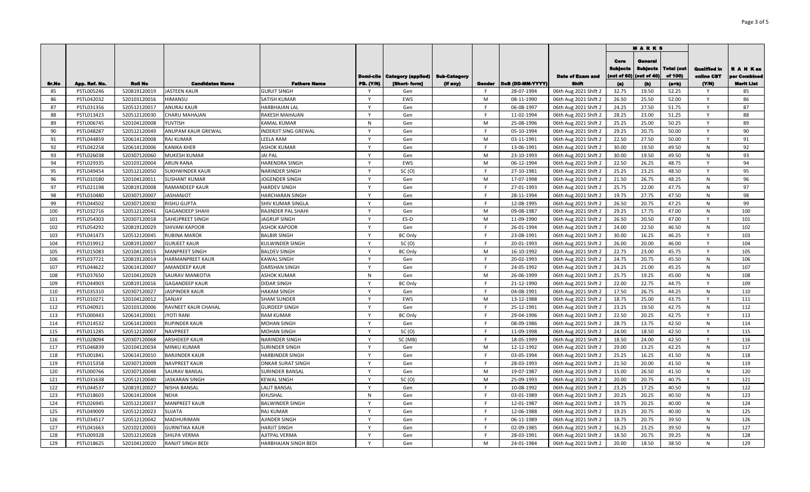|       |               |                |                          |                          |                                      |                                           |                     |              |                           |                                         | <b>MARKS</b>                   |                                           |                       |                                    |                                               |
|-------|---------------|----------------|--------------------------|--------------------------|--------------------------------------|-------------------------------------------|---------------------|--------------|---------------------------|-----------------------------------------|--------------------------------|-------------------------------------------|-----------------------|------------------------------------|-----------------------------------------------|
| Sr.No | App. Ref. No. | <b>Roll No</b> | <b>Candidates Name</b>   | <b>Fathers Name</b>      | <b>Domi-cile</b><br><b>PB. (Y/N)</b> | <b>Category (applied)</b><br>[Short-form] | <b>Sub-Category</b> |              | Gender   DoB (DD-MM-YYYY) | <b>Date of Exam and</b><br><b>Shift</b> | Core<br>Bublects<br>out of 60) | General<br><b>Sublects</b><br>(out of 40) | Total (out<br>of 100) | Qualified in<br>oniine CBT<br>(YM) | R A N Kas<br>er Combined<br><b>Merit List</b> |
| 85    | PSTL005246    | 520819120019   | JASTEEN KAUR             | <b>GURJIT SINGH</b>      | Y                                    | Gen                                       | (If any)            | F.           | 28-07-1994                | 06th Aug 2021 Shift 2                   | (a)<br>32.75                   | (b)<br>19.50                              | $(a+b)$<br>52.25      | Y                                  | 85                                            |
| 86    | PSTL042032    | 520103120016   | HIMANSU                  | SATISH KUMAR             | Y                                    | EWS                                       |                     | M            | 08-11-1990                | 06th Aug 2021 Shift 2                   | 26.50                          | 25.50                                     | 52.00                 | Y                                  | 86                                            |
| 87    | PSTL031356    | 520512120017   | <b>ANURAJ KAUR</b>       | HARBHAJAN LAL            | Y                                    | Gen                                       |                     | F.           | 06-08-1997                | 06th Aug 2021 Shift 2                   | 24.25                          | 27.50                                     | 51.75                 | Y                                  | 87                                            |
| 88    | PSTL013423    | 520512120030   | CHARU MAHAJAN            | RAKESH MAHAJAN           | Y                                    | Gen                                       |                     | F            | 11-02-1994                | 06th Aug 2021 Shift 2                   | 28.25                          | 23.00                                     | 51.25                 | Y                                  | 88                                            |
| 89    | PSTL006745    | 520104120008   | YUVTISH                  | <b>KAMAL KUMAR</b>       | N                                    | Gen                                       |                     | M            | 25-08-1996                | 06th Aug 2021 Shift 2                   | 25.25                          | 25.00                                     | 50.25                 | Y                                  | 89                                            |
| 90    | PSTL048287    | 520512120049   | ANUPAM KAUR GREWAL       | INDERJIT SING GREWAL     | Y                                    | Gen                                       |                     | F            | 05-10-1994                | 06th Aug 2021 Shift 2                   | 29.25                          | 20.75                                     | 50.00                 | Y                                  | 90                                            |
| 91    | PSTL044859    | 520614120008   | RAJ KUMAR                | LEELA RAM                | $\mathsf{Y}$                         | Gen                                       |                     | M            | 03-11-1991                | 06th Aug 2021 Shift 2                   | 22.50                          | 27.50                                     | 50.00                 | $\mathsf{v}$                       | 91                                            |
| 92    | PSTL042258    | 520614120006   | KANIKA KHER              | <b>ASHOK KUMAR</b>       | $\mathsf{v}$                         | Gen                                       |                     | E            | 13-06-1991                | 06th Aug 2021 Shift 2                   | 30.00                          | 19.50                                     | 49.50                 | N                                  | 92                                            |
| 93    | PSTL026038    | 520307120060   | MUKESH KUMAR             | <b>JAI PAL</b>           |                                      | Gen                                       |                     | M            | 23-10-1993                | 06th Aug 2021 Shift 2                   | 30.00                          | 19.50                                     | 49.50                 | N                                  | 93                                            |
| 94    | PSTL029335    | 520103120004   | <b>ARUN RANA</b>         | <b>HARENDRA SINGH</b>    |                                      | <b>EWS</b>                                |                     | M            | 06-12-1994                | 06th Aug 2021 Shift 2                   | 22.50                          | 26.25                                     | 48.75                 |                                    | 94                                            |
| 95    | PSTL049454    | 520512120050   | SUKHWINDER KAUR          | <b>NARINDER SINGH</b>    |                                      | SC(0)                                     |                     | E            | 27-10-1981                | 06th Aug 2021 Shift 2                   | 25.25                          | 23.25                                     | 48.50                 |                                    | 95                                            |
| 96    | PSTL010180    | 520104120011   | SUSHANT KUMAR            | JOGENDER SINGH           | Y                                    | Gen                                       |                     | M            | 17-07-1998                | 06th Aug 2021 Shift 2                   | 21.50                          | 26.75                                     | 48.25                 | N                                  | 96                                            |
| 97    | PSTL021198    | 520819120008   | RAMANDEEP KAUR           | <b>HARDEV SINGH</b>      |                                      | Gen                                       |                     | $\mathsf{F}$ | 27-01-1993                | 06th Aug 2021 Shift 2                   | 25.75                          | 22.00                                     | 47.75                 | N                                  | 97                                            |
| 98    | PSTL010480    | 520307120007   | <b>JASHANJOT</b>         | HARCHARAN SINGH          | Y                                    | Gen                                       |                     | F.           | 28-11-1994                | 06th Aug 2021 Shift 2                   | 19.75                          | 27.75                                     | 47.50                 | N                                  | 98                                            |
| 99    | PSTL044502    | 520307120030   | RISHU GUPTA              | SHIV KUMAR SINGLA        | $\mathsf{v}$                         | Gen                                       |                     | E            | 12-08-1995                | 06th Aug 2021 Shift 2                   | 26.50                          | 20.75                                     | 47.25                 | N                                  | 99                                            |
| 100   | PSTL032716    | 520512120041   | GAGANDEEP SHAHI          | RAJINDER PAL SHAHI       | Y                                    | Gen                                       |                     | M            | 09-08-1987                | 06th Aug 2021 Shift 2                   | 29.25                          | 17.75                                     | 47.00                 | ${\sf N}$                          | 100                                           |
| 101   | PSTL054303    | 520307120018   | SAHEJPREET SINGH         | <b>JAGRUP SINGH</b>      | Y                                    | ES-D                                      |                     | M            | 11-09-1990                | 06th Aug 2021 Shift 2                   | 26.50                          | 20.50                                     | 47.00                 | Y                                  | 101                                           |
| 102   | PSTL054292    | 520819120029   | SHIVANI KAPOOR           | <b>ASHOK KAPOOR</b>      | $\mathsf{Y}$                         | Gen                                       |                     | F.           | 26-01-1994                | 06th Aug 2021 Shift 2                   | 24.00                          | 22.50                                     | 46.50                 | N                                  | 102                                           |
| 103   | PSTL041473    | 520512120045   | RUBINA MAROK             | <b>BALBIR SINGH</b>      | Y                                    | <b>BC Only</b>                            |                     | F            | 23-08-1991                | 06th Aug 2021 Shift 2                   | 30.00                          | 16.25                                     | 46.25                 | Y                                  | 103                                           |
| 104   | PSTL019912    | 520819120007   | <b>GURJEET KAUR</b>      | KULWINDER SINGH          | $\mathsf{Y}$                         | SC(0)                                     |                     | F.           | 20-01-1993                | 06th Aug 2021 Shift 2                   | 26.00                          | 20.00                                     | 46.00                 | Y                                  | 104                                           |
| 105   | PSTL015083    | 520104120015   | <b>MANPREET SINGH</b>    | <b>BALDEV SINGH</b>      | Y                                    | <b>BC Only</b>                            |                     | M            | 16-10-1992                | 06th Aug 2021 Shift 2                   | 22.75                          | 23.00                                     | 45.75                 | Y                                  | 105                                           |
| 106   | PSTL037721    | 520819120014   | HARMANPREET KAUR         | KAWAL SINGH              | Y                                    | Gen                                       |                     | F.           | 20-02-1993                | 06th Aug 2021 Shift 2                   | 24.75                          | 20.75                                     | 45.50                 | N                                  | 106                                           |
| 107   | PSTL044622    | 520614120007   | <b>AMANDEEP KAUR</b>     | DARSHAN SINGH            | Y                                    | Gen                                       |                     | F.           | 24-05-1992                | 06th Aug 2021 Shift 2                   | 24.25                          | 21.00                                     | 45.25                 | N                                  | 107                                           |
| 108   | PSTL037650    | 520104120029   | <b>SAURAV MANKOTIA</b>   | ASHOK KUMAR              | N                                    | Gen                                       |                     | M            | 26-06-1999                | 06th Aug 2021 Shift 2                   | 25.75                          | 19.25                                     | 45.00                 | N                                  | 108                                           |
| 109   | PSTL044903    | 520819120016   | <b>GAGANDEEP KAUR</b>    | DIDAR SINGH              | Y                                    | <b>BC Only</b>                            |                     | F            | 21-12-1990                | 06th Aug 2021 Shift 2                   | 22.00                          | 22.75                                     | 44.75                 | Y                                  | 109                                           |
| 110   | PSTL035310    | 520307120027   | JASPINDER KAUR           | HAKAM SINGH              | Y                                    | Gen                                       |                     | F            | 04-08-1991                | 06th Aug 2021 Shift 2                   | 17.50                          | 26.75                                     | 44.25                 | N                                  | 110                                           |
| 111   | PSTL010271    | 520104120012   | SANJAY                   | <b>SHAM SUNDER</b>       | Y                                    | EWS                                       |                     | M            | 13-12-1988                | 06th Aug 2021 Shift 2                   | 18.75                          | 25.00                                     | 43.75                 | Y                                  | 111                                           |
| 112   | PSTL040921    | 520103120006   | RAVNEET KAUR CHAHAL      | <b>GURDEEP SINGH</b>     | Y                                    | Gen                                       |                     | F            | 25-12-1991                | 06th Aug 2021 Shift 2                   | 23.25                          | 19.50                                     | 42.75                 | N                                  | 112                                           |
| 113   | PSTL000443    | 520614120001   | <b>JYOTI RANI</b>        | <b>RAM KUMAR</b>         | Y                                    | <b>BC Only</b>                            |                     | F            | 29-04-1996                | 06th Aug 2021 Shift 2                   | 22.50                          | 20.25                                     | 42.75                 | Y                                  | 113                                           |
| 114   | PSTL014532    | 520614120003   | <b>RUPINDER KAUR</b>     | MOHAN SINGH              | Y                                    | Gen                                       |                     | F.           | 08-09-1986                | 06th Aug 2021 Shift 2                   | 28.75                          | 13.75                                     | 42.50                 | N                                  | 114                                           |
| 115   | PSTL011285    | 520512120007   | <b>NAVPREET</b>          | MOHAN SINGH              | Y                                    | SC(0)                                     |                     | F            | 11-09-1998                | 06th Aug 2021 Shift 2                   | 24.00                          | 18.50                                     | 42.50                 | Y                                  | 115                                           |
| 116   | PSTL028094    | 520307120068   | <b>ARSHDEEP KAUR</b>     | <b>NARINDER SINGH</b>    | $\mathsf{v}$                         | SC (MB)                                   |                     | F.           | 18-05-1999                | 06th Aug 2021 Shift 2                   | 18.50                          | 24.00                                     | 42.50                 | $\mathsf{v}$                       | 116                                           |
| 117   | PSTL046839    | 520104120034   | MINKU KUMAR              | <b>SURINDER SINGH</b>    | Y                                    | Gen                                       |                     | M            | 12-12-1992                | 06th Aug 2021 Shift 2                   | 29.00                          | 13.25                                     | 42.25                 | N                                  | 117                                           |
| 118   | PSTL001841    | 520614120010   | BARJINDER KAUR           | HARBINDER SINGH          |                                      | Gen                                       |                     | E            | 03-05-1994                | 06th Aug 2021 Shift 2                   | 25.25                          | 16.25                                     | 41.50                 | N                                  | 118                                           |
| 119   | PSTL015358    | 520307120009   | NAVPREET KAUR            | <b>ONKAR SURAT SINGH</b> | $\checkmark$                         | Gen                                       |                     | F.           | 28-03-1993                | 06th Aug 2021 Shift 2                   | 21.50                          | 20.00                                     | 41.50                 | N                                  | 119                                           |
| 120   | PSTL000766    | 520307120048   | SAURAV BANSAL            | <b>SURINDER BANSAL</b>   |                                      | Gen                                       |                     | M            | 19-07-1987                | 06th Aug 2021 Shift 2                   | 15.00                          | 26.50                                     | 41.50                 | N                                  | 120                                           |
| 121   | PSTL031638    | 520512120040   | <b>JASKARAN SINGH</b>    | <b>KEWAL SINGH</b>       | $\checkmark$                         | SC(0)                                     |                     | M            | 25-09-1993                | 06th Aug 2021 Shift 2                   | 20.00                          | 20.75                                     | 40.75                 |                                    | 121                                           |
| 122   | PSTL044537    | 520819120027   | NISHA BANSAL             | <b>LALIT BANSAL</b>      | $\mathsf{v}$                         | Gen                                       |                     | F            | 10-08-1992                | 06th Aug 2021 Shift 2                   | 23.25                          | 17.25                                     | 40.50                 | N                                  | 122                                           |
| 123   | PSTL018603    | 520614120004   | NEHA                     | KHUSHAL                  | N                                    | Gen                                       |                     | F            | 03-01-1989                | 06th Aug 2021 Shift 2                   | 20.25                          | 20.25                                     | 40.50                 | N                                  | 123                                           |
| 124   | PSTL026945    | 520512120037   | <b>MANPREET KAUR</b>     | <b>BALWINDER SINGH</b>   | Y                                    | Gen                                       |                     | F.           | 12-01-1987                | 06th Aug 2021 Shift 2                   | 19.75                          | 20.25                                     | 40.00                 | N                                  | 124                                           |
| 125   | PSTL049009    | 520512120023   | SUJATA                   | <b>RAJ KUMAR</b>         | Y                                    | Gen                                       |                     | F            | 12-06-1988                | 06th Aug 2021 Shift 2                   | 19.25                          | 20.75                                     | 40.00                 | N                                  | 125                                           |
| 126   | PSTL034517    | 520512120042   | MADHURIMAN               | AJINDER SINGH            | Y                                    | Gen                                       |                     | F            | 06-11-1989                | 06th Aug 2021 Shift 2                   | 18.75                          | 20.75                                     | 39.50                 | N                                  | 126                                           |
| 127   | PSTL041663    | 520102120003   | GURNITIKA KAUR           | HARJIT SINGH             | $\mathsf{Y}$                         | Gen                                       |                     | $\mathsf{F}$ | 02-09-1985                | 06th Aug 2021 Shift 2                   | 16.25                          | 23.25                                     | 39.50                 | N                                  | 127                                           |
| 128   | PSTL009328    | 520512120028   | SHILPA VERMA             | AJITPAL VERMA            | Y                                    | Gen                                       |                     | E            | 28-03-1991                | 06th Aug 2021 Shift 2                   | 18.50                          | 20.75                                     | 39.25                 | $\mathsf{N}$                       | 128                                           |
| 129   | PSTL018625    | 520104120020   | <b>RANJIT SINGH BEDI</b> | HARBHAJAN SINGH BEDI     | Y                                    | Gen                                       |                     | M            | 24-01-1984                | 06th Aug 2021 Shift 2                   | 20.00                          | 18.50                                     | 38.50                 | $\mathsf{N}$                       | 129                                           |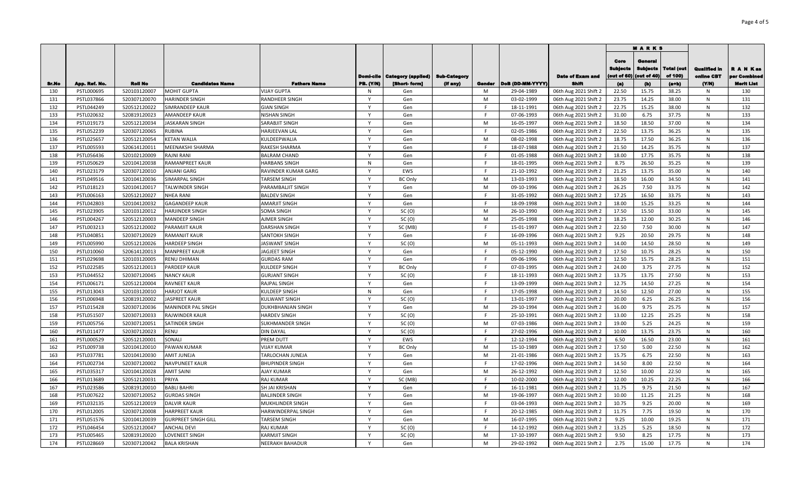|              |                          |                              |                                             |                                             |                              |                           |                     |             |                          |                                                | <b>MARKS</b>                           |                                           |                       |                                   |                          |
|--------------|--------------------------|------------------------------|---------------------------------------------|---------------------------------------------|------------------------------|---------------------------|---------------------|-------------|--------------------------|------------------------------------------------|----------------------------------------|-------------------------------------------|-----------------------|-----------------------------------|--------------------------|
|              |                          |                              |                                             |                                             | <b>Domi-cile</b>             | <b>Category (applied)</b> | <b>Sub-Category</b> |             |                          | <b>Date of Exam and</b>                        | Core<br><b>Subjects</b><br>(out of 60) | General<br><b>Subjects</b><br>(out of 40) | Total (out<br>of 100) | <b>Qualified in</b><br>online CBT | R A N Kas<br>er Combined |
| <b>Sr.No</b> | App. Ref. No.            | <b>Roll No</b>               | <b>Candidates Name</b>                      | <b>Fathers Name</b>                         | <b>PB. (Y/N)</b>             | [Short-form]              | (If any)            | Gender<br>M | DoB (DD-MM-YYYY)         | <b>Shift</b><br>06th Aug 2021 Shift 2          | (a)<br>22.50                           | (b)<br>15.75                              | $(a+b)$               | (Y/N)                             | <b>Merit List</b>        |
| 130<br>131   | PSTL000695<br>PSTL037866 | 520103120007<br>520307120070 | <b>MOHIT GUPTA</b><br><b>HARINDER SINGH</b> | <b>VIJAY GUPTA</b><br><b>RANDHEER SINGH</b> | N<br>Y                       | Gen                       |                     | M           | 29-04-1989<br>03-02-1999 |                                                | 23.75                                  | 14.25                                     | 38.25<br>38.00        | N<br>N                            | 130<br>131               |
| 132          | PSTL044249               | 520512120022                 | <b>SIMRANDEEP KAUR</b>                      | <b>GIAN SINGH</b>                           | Y                            | Gen<br>Gen                |                     | F.          | 18-11-1991               | 06th Aug 2021 Shift 2<br>06th Aug 2021 Shift 2 | 22.75                                  | 15.25                                     | 38.00                 | N                                 | 132                      |
| 133          | PSTL020632               | 520819120023                 | <b>AMANDEEP KAUR</b>                        | <b>NISHAN SINGH</b>                         | Y                            | Gen                       |                     | F           | 07-06-1993               | 06th Aug 2021 Shift 2                          | 31.00                                  | 6.75                                      | 37.75                 | N                                 | 133                      |
| 134          | PSTL019173               | 520512120034                 | <b>JASKARAN SINGH</b>                       | SARABJIT SINGH                              | $\mathsf{v}$                 | Gen                       |                     | M           | 16-05-1997               | 06th Aug 2021 Shift 2                          | 18.50                                  | 18.50                                     | 37.00                 | N                                 | 134                      |
| 135          | PSTL052239               | 520307120065                 | <b>RUBINA</b>                               | <b>HARJEEVAN LAL</b>                        | $\mathsf{Y}$                 | Gen                       |                     | E           | 02-05-1986               | 06th Aug 2021 Shift 2                          | 22.50                                  | 13.75                                     | 36.25                 | N                                 | 135                      |
| 136          | PSTL025657               | 520512120054                 | <b>KETAN WALIA</b>                          | KULDEEPWALIA                                |                              | Gen                       |                     | M           | 08-02-1998               | 06th Aug 2021 Shift 2                          | 18.75                                  | 17.50                                     | 36.25                 | N                                 | 136                      |
| 137          | PSTL005593               | 520614120011                 | <b>MEENAKSHI SHARMA</b>                     | RAKESH SHARMA                               | $\mathsf{v}$                 | Gen                       |                     | E           | 18-07-1988               | 06th Aug 2021 Shift 2                          | 21.50                                  | 14.25                                     | 35.75                 | N                                 | 137                      |
| 138          | PSTL056436               | 520102120009                 | <b>RAJNI RANI</b>                           | <b>BALRAM CHAND</b>                         |                              | Gen                       |                     | F           | 01-05-1988               | 06th Aug 2021 Shift 2                          | 18.00                                  | 17.75                                     | 35.75                 | N                                 | 138                      |
| 139          | PSTL050629               | 520104120038                 | <b>RAMANPREET KAUR</b>                      | <b>HARBANS SINGH</b>                        | N                            | Gen                       |                     | E           | 18-01-1995               | 06th Aug 2021 Shift 2                          | 8.75                                   | 26.50                                     | 35.25                 | N                                 | 139                      |
| 140          | PSTL023179               | 520307120010                 | <b>ANJANI GARG</b>                          | RAVINDER KUMAR GARG                         |                              | EWS                       |                     | E           | 21-10-1992               |                                                | 21.25                                  | 13.75                                     | 35.00                 | N                                 | 140                      |
| 141          | PSTL049516               | 520104120036                 | SIMARPAL SINGH                              | <b>TARSEM SINGH</b>                         | $\mathsf{v}$                 | BC Only                   |                     | M           | 13-03-1993               | 06th Aug 2021 Shift 2<br>06th Aug 2021 Shift 2 | 18.50                                  | 16.00                                     | 34.50                 | N                                 | 141                      |
| 142          |                          | 520104120017                 |                                             | PARAMBALJIT SINGH                           |                              | Gen                       |                     | M           |                          |                                                |                                        | 7.50                                      | 33.75                 | N                                 | 142                      |
|              | PSTL018123               |                              | <b>TALWINDER SINGH</b>                      |                                             | Y                            |                           |                     | F.          | 09-10-1996               | 06th Aug 2021 Shift 2                          | 26.25                                  | 16.50                                     |                       |                                   |                          |
| 143          | PSTL006163               | 520512120027                 | <b>NHEA RANI</b>                            | <b>BALDEV SINGH</b>                         | Y                            | Gen                       |                     | F.          | 31-05-1992               | 06th Aug 2021 Shift 2                          | 17.25                                  |                                           | 33.75                 | N                                 | 143<br>144               |
| 144          | PSTL042803               | 520104120032                 | <b>GAGANDEEP KAUR</b>                       | <b>AMARJIT SINGH</b>                        | $\mathsf{Y}$                 | Gen                       |                     | M           | 18-09-1998               | 06th Aug 2021 Shift 2                          | 18.00                                  | 15.25                                     | 33.25                 | N                                 |                          |
| 145<br>146   | PSTL023905<br>PSTL004267 | 520103120012<br>520512120003 | <b>HARJINDER SINGH</b>                      | SOMA SINGH<br><b>AJMER SINGH</b>            | Y                            | SC(0)<br>SC(0)            |                     | M           | 26-10-1990               | 06th Aug 2021 Shift 2                          | 17.50<br>18.25                         | 15.50<br>12.00                            | 33.00<br>30.25        | ${\sf N}$<br>$\mathsf{N}$         | 145<br>146               |
|              |                          | 520512120002                 | <b>MANDEEP SINGH</b>                        |                                             | Y                            |                           |                     | F           | 25-05-1998               | 06th Aug 2021 Shift 2                          | 22.50                                  | 7.50                                      |                       |                                   | 147                      |
| 147          | PSTL003213               |                              | PARAMJIT KAUR                               | <b>DARSHAN SINGH</b>                        | $\mathsf{Y}$                 | SC (MB)                   |                     | F.          | 15-01-1997               | 06th Aug 2021 Shift 2                          |                                        |                                           | 30.00                 | N                                 | 148                      |
| 148          | PSTL040851               | 520307120029                 | <b>RAMANJIT KAUR</b>                        | <b>SANTOKH SINGH</b>                        | $\mathsf{Y}$                 | Gen                       |                     | M           | 16-09-1996               | 06th Aug 2021 Shift 2                          | 9.25                                   | 20.50                                     | 29.75                 | N                                 |                          |
| 149          | PSTL005990               | 520512120026                 | <b>HARDEEP SINGH</b>                        | <b>JASWANT SINGH</b>                        | Y                            | SC(0)                     |                     | F.          | 05-11-1993               | 06th Aug 2021 Shift 2                          | 14.00                                  | 14.50                                     | 28.50                 | N                                 | 149<br>150               |
| 150          | PSTL010060               | 520614120013                 | <b>MANPREET KAUR</b>                        | JAGJEET SINGH                               |                              | Gen                       |                     |             | 05-12-1990               | 06th Aug 2021 Shift 2                          | 17.50                                  | 10.75                                     | 28.25                 | N                                 |                          |
| 151          | PSTL029698               | 520103120005                 | <b>RENU DHIMAN</b>                          | <b>GURDAS RAM</b>                           | Y<br>Y                       | Gen                       |                     | F.<br>F     | 09-06-1996               | 06th Aug 2021 Shift 2                          | 12.50                                  | 15.75                                     | 28.25                 | N                                 | 151                      |
| 152          | PSTL022585               | 520512120013                 | <b>PARDEEP KAUR</b>                         | <b>KULDEEP SINGH</b>                        | $\mathsf{Y}$                 | <b>BC Only</b>            |                     | F           | 07-03-1995               | 06th Aug 2021 Shift 2                          | 24.00                                  | 3.75                                      | 27.75                 | N                                 | 152                      |
| 153          | PSTL044552               | 520307120045                 | <b>NANCY KAUR</b>                           | <b>GURJANT SINGH</b>                        |                              | SC(0)                     |                     |             | 18-11-1993               | 06th Aug 2021 Shift 2                          | 13.75                                  | 13.75                                     | 27.50                 | N                                 | 153                      |
| 154          | PSTL006171               | 520512120004                 | <b>RAVNEET KAUR</b>                         | RAJPAL SINGH                                | Y                            | Gen                       |                     | F           | 13-09-1999               | 06th Aug 2021 Shift 2                          | 12.75                                  | 14.50                                     | 27.25                 | N                                 | 154                      |
| 155          | PSTL013043               | 520103120010                 | <b>HARJOT KAUR</b>                          | <b>KULDEEP SINGH</b>                        | N                            | Gen                       |                     | F           | 17-05-1998               | 06th Aug 2021 Shift 2                          | 14.50                                  | 12.50                                     | 27.00                 | N                                 | 155                      |
| 156          | PSTL006948               | 520819120002                 | <b>JASPREET KAUR</b>                        | <b>KULWANT SINGH</b>                        | Y                            | SC(0)                     |                     | F.          | 13-01-1997               | 06th Aug 2021 Shift 2                          | 20.00                                  | 6.25                                      | 26.25                 | N                                 | 156                      |
| 157          | PSTL015428               | 520307120036                 | MANINDER PAL SINGH                          | <b>DUKHBHANJAN SINGH</b>                    | Y                            | Gen                       |                     | M           | 29-10-1994               | 06th Aug 2021 Shift 2                          | 16.00                                  | 9.75                                      | 25.75                 | N                                 | 157                      |
| 158          | PSTL051507               | 520307120033                 | <b>RAJWINDER KAUR</b>                       | <b>HARDEV SINGH</b>                         | Y                            | SC(0)                     |                     | E           | 25-10-1991               | 06th Aug 2021 Shift 2                          | 13.00                                  | 12.25                                     | 25.25                 | N                                 | 158                      |
| 159          | PSTL005756               | 520307120051                 | <b>SATINDER SINGH</b>                       | <b>SUKHMANDER SINGH</b>                     | Y                            | SC(0)                     |                     | M           | 07-03-1986               | 06th Aug 2021 Shift 2                          | 19.00                                  | 5.25                                      | 24.25                 | N                                 | 159                      |
| 160          | PSTL011477               | 520307120023                 | <b>RENU</b>                                 | <b>DIN DAYAL</b>                            | Y<br>$\checkmark$            | SC(0)                     |                     | F           | 27-02-1996               | 06th Aug 2021 Shift 2                          | 10.00                                  | 13.75                                     | 23.75                 | N                                 | 160                      |
| 161          | PSTL000529               | 520512120001                 | SONALI                                      | PREM DUTT                                   | $\mathsf{v}$                 | EWS                       |                     | E           | 12-12-1994               | 06th Aug 2021 Shift 2                          | 6.50                                   | 16.50                                     | 23.00                 | N                                 | 161                      |
| 162          | PSTL009738               | 520104120010                 | PAWAN KUMAR                                 | <b>VIJAY KUMAR</b>                          |                              | <b>BC Only</b>            |                     | M           | 15-10-1989               | 06th Aug 2021 Shift 2                          | 17.50                                  | 5.00                                      | 22.50                 | N                                 | 162                      |
| 163          | PSTL037781               | 520104120030                 | <b>AMIT JUNEJA</b>                          | TARLOCHAN JUNEJA                            | $\mathsf{v}$                 | Gen                       |                     | M<br>F.     | 21-01-1986               | 06th Aug 2021 Shift 2                          | 15.75                                  | 6.75                                      | 22.50                 | N                                 | 163                      |
| 164          | PSTL002734               | 520307120002                 | <b>NAVPUNEET KAUR</b>                       | <b>BHUPINDER SINGH</b>                      |                              | Gen                       |                     |             | 17-02-1996               | 06th Aug 2021 Shift 2                          | 14.50                                  | 8.00                                      | 22.50                 | N                                 | 164                      |
| 165          | PSTL035317               | 520104120028                 | <b>AMIT SAINI</b>                           | <b>AJAY KUMAR</b>                           |                              | Gen                       |                     | M           | 26-12-1992               | 06th Aug 2021 Shift 2                          | 12.50                                  | 10.00                                     | 22.50                 | N                                 | 165                      |
| 166          | PSTL013689               | 520512120031                 | PRIYA                                       | <b>RAJ KUMAR</b>                            |                              | SC (MB)                   |                     | F.          | 10-02-2000               | 06th Aug 2021 Shift 2                          | 12.00                                  | 10.25                                     | 22.25                 | N                                 | 166                      |
| 167          | PSTL023586               | 520819120010                 | <b>BABLI BAHRI</b>                          | SH JAI KRISHAN                              |                              | Gen                       |                     | E           | 16-11-1981               | 06th Aug 2021 Shift 2                          | 11.75                                  | 9.75                                      | 21.50                 | N                                 | 167                      |
| 168          | PSTL007622               | 520307120052                 | <b>GURDAS SINGH</b>                         | <b>BALJINDER SINGH</b>                      | $\checkmark$<br>$\mathbf{v}$ | Gen                       |                     | M           | 19-06-1997               | 06th Aug 2021 Shift 2                          | 10.00                                  | 11.25                                     | 21.25                 | N                                 | 168                      |
| 169          | PSTL032135               | 520512120019                 | <b>DALVIR KAUR</b>                          | MUKHLINDER SINGH                            |                              | Gen                       |                     | E           | 03-04-1993               | 06th Aug 2021 Shift 2                          | 10.75                                  | 9.25                                      | 20.00                 | ${\sf N}$                         | 169                      |
| 170          | PSTL012005               | 520307120008                 | <b>HARPREET KAUR</b>                        | HARWINDERPAL SINGH                          | $\mathsf{Y}$                 | Gen                       |                     | E           | 20-12-1985               | 06th Aug 2021 Shift 2                          | 11.75                                  | 7.75                                      | 19.50                 | N                                 | 170                      |
| 171          | PSTL051576               | 520104120039                 | <b>GURPREET SINGH GILL</b>                  | <b>TARSEM SINGH</b>                         | Y                            | Gen                       |                     | M           | 16-07-1995               | 06th Aug 2021 Shift 2                          | 9.25                                   | 10.00                                     | 19.25                 | N                                 | 171                      |
| 172          | PSTL046454               | 520512120047                 | <b>ANCHAL DEVI</b>                          | <b>RAJ KUMAR</b>                            | Y                            | SC(0)                     |                     | F.          | 14-12-1992               | 06th Aug 2021 Shift 2                          | 13.25                                  | 5.25                                      | 18.50                 | N                                 | 172                      |
| 173          | PSTL005465               | 520819120020                 | LOVENEET SINGH                              | <b>KARMJIT SINGH</b>                        | Y                            | SC(0)                     |                     | M           | 17-10-1997               | 06th Aug 2021 Shift 2                          | 9.50                                   | 8.25                                      | 17.75                 | N                                 | 173                      |
| 174          | PSTL028669               | 520307120042                 | <b>BALA KRISHAN</b>                         | <b>NEERAKH BAHADUR</b>                      | $\mathsf{Y}$                 | Gen                       |                     | M           | 29-02-1992               | 06th Aug 2021 Shift 2                          | 2.75                                   | 15.00                                     | 17.75                 | N                                 | 174                      |